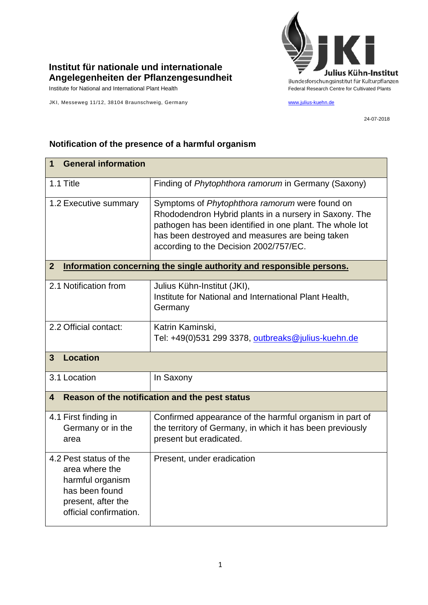## **Institut für nationale und internationale Angelegenheiten der Pflanzengesundheit**

Institute for National and International Plant Health Feature And Theorem Federal Research Centre for Cultivated Plants

JKI, Messeweg 11/12, 38104 Braunschweig, Germany [www.julius-kuehn.de](http://www.julius-kuehn.de/)



24-07-2018

## **1 General information** 1.1 Title Finding of *Phytophthora ramorum* in Germany (Saxony) 1.2 Executive summary Symptoms of *Phytophthora ramorum* were found on Rhododendron Hybrid plants in a nursery in Saxony. The pathogen has been identified in one plant. The whole lot has been destroyed and measures are being taken according to the Decision 2002/757/EC. **2 Information concerning the single authority and responsible persons.** 2.1 Notification from Julius Kühn-Institut (JKI), Institute for National and International Plant Health, **Germany** 2.2 Official contact: Katrin Kaminski, Tel: +49(0)531 299 3378, [outbreaks@julius-kuehn.de](mailto:outbreaks@julius-kuehn.de) **3 Location**  3.1 Location | In Saxony **4 Reason of the notification and the pest status** 4.1 First finding in Germany or in the area Confirmed appearance of the harmful organism in part of the territory of Germany, in which it has been previously present but eradicated. 4.2 Pest status of the area where the harmful organism has been found present, after the official confirmation. Present, under eradication

## **Notification of the presence of a harmful organism**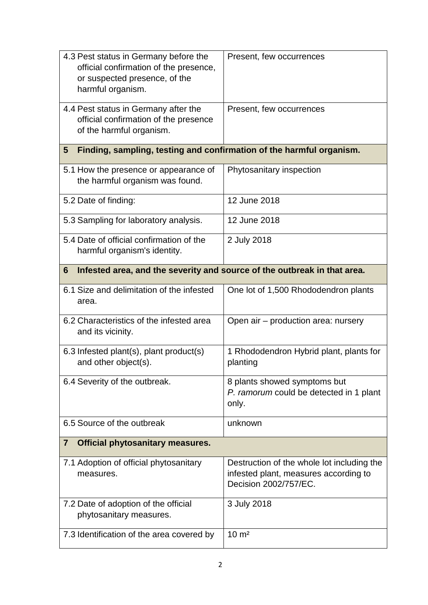| 4.3 Pest status in Germany before the<br>official confirmation of the presence,<br>or suspected presence, of the<br>harmful organism. | Present, few occurrences                                                                                     |
|---------------------------------------------------------------------------------------------------------------------------------------|--------------------------------------------------------------------------------------------------------------|
| 4.4 Pest status in Germany after the<br>official confirmation of the presence<br>of the harmful organism.                             | Present, few occurrences                                                                                     |
| Finding, sampling, testing and confirmation of the harmful organism.<br>5                                                             |                                                                                                              |
| 5.1 How the presence or appearance of<br>the harmful organism was found.                                                              | Phytosanitary inspection                                                                                     |
| 5.2 Date of finding:                                                                                                                  | 12 June 2018                                                                                                 |
| 5.3 Sampling for laboratory analysis.                                                                                                 | 12 June 2018                                                                                                 |
| 5.4 Date of official confirmation of the<br>harmful organism's identity.                                                              | 2 July 2018                                                                                                  |
| 6<br>Infested area, and the severity and source of the outbreak in that area.                                                         |                                                                                                              |
| 6.1 Size and delimitation of the infested<br>area.                                                                                    | One lot of 1,500 Rhododendron plants                                                                         |
| 6.2 Characteristics of the infested area<br>and its vicinity.                                                                         | Open air - production area: nursery                                                                          |
| 6.3 Infested plant(s), plant product(s)<br>and other object(s).                                                                       | 1 Rhododendron Hybrid plant, plants for<br>planting                                                          |
| 6.4 Severity of the outbreak.                                                                                                         | 8 plants showed symptoms but<br>P. ramorum could be detected in 1 plant<br>only.                             |
| 6.5 Source of the outbreak                                                                                                            | unknown                                                                                                      |
| <b>Official phytosanitary measures.</b><br>$\overline{7}$                                                                             |                                                                                                              |
| 7.1 Adoption of official phytosanitary<br>measures.                                                                                   | Destruction of the whole lot including the<br>infested plant, measures according to<br>Decision 2002/757/EC. |
| 7.2 Date of adoption of the official<br>phytosanitary measures.                                                                       | 3 July 2018                                                                                                  |
| 7.3 Identification of the area covered by                                                                                             | $10 \text{ m}^2$                                                                                             |